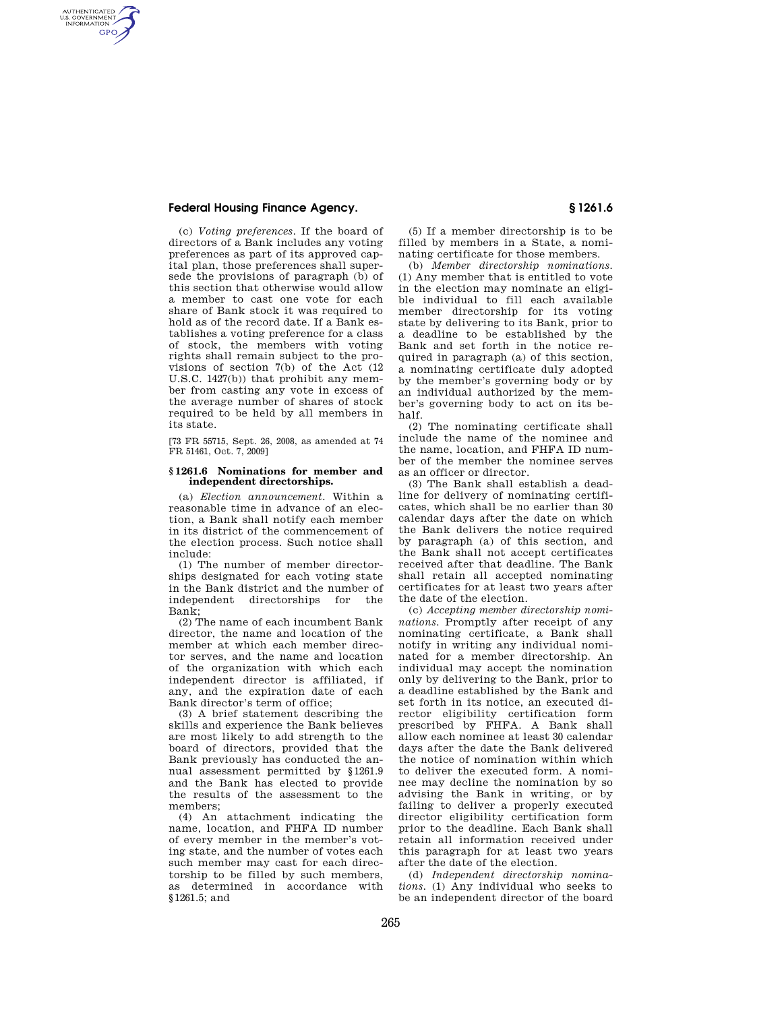## **Federal Housing Finance Agency. § 1261.6**

AUTHENTICATED<br>U.S. GOVERNMENT<br>INFORMATION **GPO** 

> (c) *Voting preferences.* If the board of directors of a Bank includes any voting preferences as part of its approved capital plan, those preferences shall supersede the provisions of paragraph (b) of this section that otherwise would allow a member to cast one vote for each share of Bank stock it was required to hold as of the record date. If a Bank establishes a voting preference for a class of stock, the members with voting rights shall remain subject to the provisions of section 7(b) of the Act (12 U.S.C. 1427(b)) that prohibit any member from casting any vote in excess of the average number of shares of stock required to be held by all members in its state.

[73 FR 55715, Sept. 26, 2008, as amended at 74 FR 51461, Oct. 7, 2009]

## **§ 1261.6 Nominations for member and independent directorships.**

(a) *Election announcement.* Within a reasonable time in advance of an election, a Bank shall notify each member in its district of the commencement of the election process. Such notice shall include:

(1) The number of member directorships designated for each voting state in the Bank district and the number of independent directorships for the Bank;

(2) The name of each incumbent Bank director, the name and location of the member at which each member director serves, and the name and location of the organization with which each independent director is affiliated, if any, and the expiration date of each Bank director's term of office;

(3) A brief statement describing the skills and experience the Bank believes are most likely to add strength to the board of directors, provided that the Bank previously has conducted the annual assessment permitted by §1261.9 and the Bank has elected to provide the results of the assessment to the members;

(4) An attachment indicating the name, location, and FHFA ID number of every member in the member's voting state, and the number of votes each such member may cast for each directorship to be filled by such members, as determined in accordance with §1261.5; and

(5) If a member directorship is to be filled by members in a State, a nominating certificate for those members.

(b) *Member directorship nominations.*  (1) Any member that is entitled to vote in the election may nominate an eligible individual to fill each available member directorship for its voting state by delivering to its Bank, prior to a deadline to be established by the Bank and set forth in the notice required in paragraph (a) of this section, a nominating certificate duly adopted by the member's governing body or by an individual authorized by the member's governing body to act on its behalf.

(2) The nominating certificate shall include the name of the nominee and the name, location, and FHFA ID number of the member the nominee serves as an officer or director.

(3) The Bank shall establish a deadline for delivery of nominating certificates, which shall be no earlier than 30 calendar days after the date on which the Bank delivers the notice required by paragraph (a) of this section, and the Bank shall not accept certificates received after that deadline. The Bank shall retain all accepted nominating certificates for at least two years after the date of the election.

(c) *Accepting member directorship nominations.* Promptly after receipt of any nominating certificate, a Bank shall notify in writing any individual nominated for a member directorship. An individual may accept the nomination only by delivering to the Bank, prior to a deadline established by the Bank and set forth in its notice, an executed director eligibility certification form prescribed by FHFA. A Bank shall allow each nominee at least 30 calendar days after the date the Bank delivered the notice of nomination within which to deliver the executed form. A nominee may decline the nomination by so advising the Bank in writing, or by failing to deliver a properly executed director eligibility certification form prior to the deadline. Each Bank shall retain all information received under this paragraph for at least two years after the date of the election.

(d) *Independent directorship nominations.* (1) Any individual who seeks to be an independent director of the board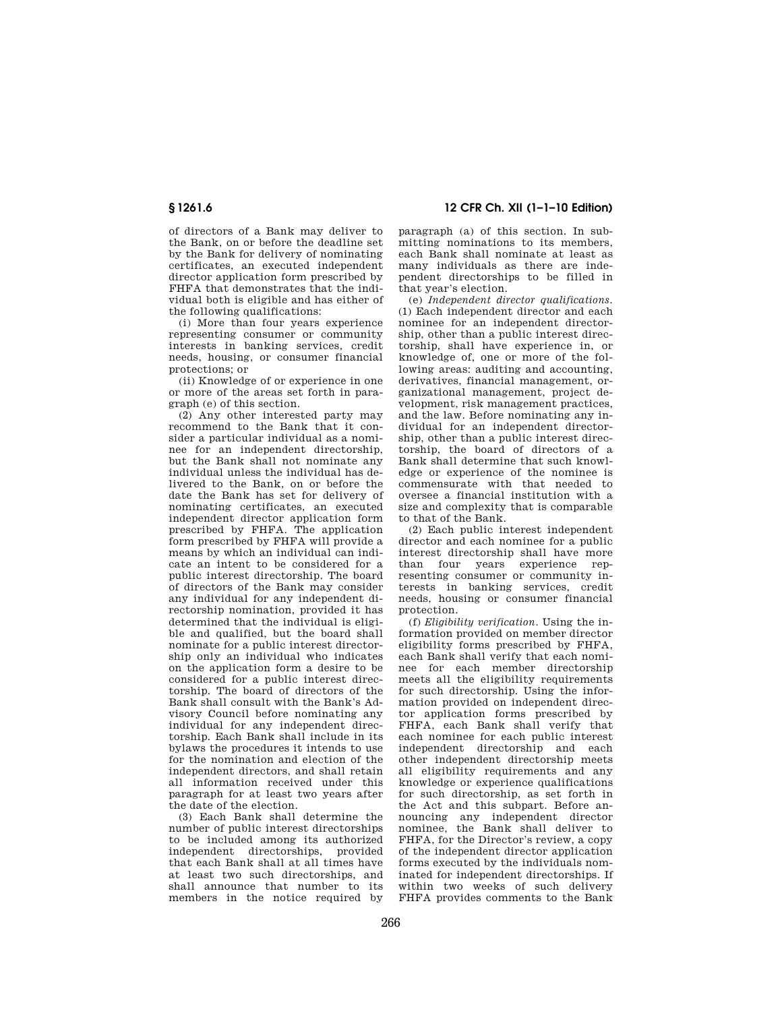of directors of a Bank may deliver to the Bank, on or before the deadline set by the Bank for delivery of nominating certificates, an executed independent director application form prescribed by FHFA that demonstrates that the individual both is eligible and has either of the following qualifications:

(i) More than four years experience representing consumer or community interests in banking services, credit needs, housing, or consumer financial protections; or

(ii) Knowledge of or experience in one or more of the areas set forth in paragraph (e) of this section.

(2) Any other interested party may recommend to the Bank that it consider a particular individual as a nominee for an independent directorship, but the Bank shall not nominate any individual unless the individual has delivered to the Bank, on or before the date the Bank has set for delivery of nominating certificates, an executed independent director application form prescribed by FHFA. The application form prescribed by FHFA will provide a means by which an individual can indicate an intent to be considered for a public interest directorship. The board of directors of the Bank may consider any individual for any independent directorship nomination, provided it has determined that the individual is eligible and qualified, but the board shall nominate for a public interest directorship only an individual who indicates on the application form a desire to be considered for a public interest directorship. The board of directors of the Bank shall consult with the Bank's Advisory Council before nominating any individual for any independent directorship. Each Bank shall include in its bylaws the procedures it intends to use for the nomination and election of the independent directors, and shall retain all information received under this paragraph for at least two years after the date of the election.

(3) Each Bank shall determine the number of public interest directorships to be included among its authorized independent directorships, provided that each Bank shall at all times have at least two such directorships, and shall announce that number to its members in the notice required by

**§ 1261.6 12 CFR Ch. XII (1–1–10 Edition)** 

paragraph (a) of this section. In submitting nominations to its members, each Bank shall nominate at least as many individuals as there are independent directorships to be filled in that year's election.

(e) *Independent director qualifications.*  (1) Each independent director and each nominee for an independent directorship, other than a public interest directorship, shall have experience in, or knowledge of, one or more of the following areas: auditing and accounting, derivatives, financial management, organizational management, project development, risk management practices, and the law. Before nominating any individual for an independent directorship, other than a public interest directorship, the board of directors of a Bank shall determine that such knowledge or experience of the nominee is commensurate with that needed to oversee a financial institution with a size and complexity that is comparable to that of the Bank.

(2) Each public interest independent director and each nominee for a public interest directorship shall have more than four years experience representing consumer or community interests in banking services, credit needs, housing or consumer financial protection.

(f) *Eligibility verification.* Using the information provided on member director eligibility forms prescribed by FHFA, each Bank shall verify that each nominee for each member directorship meets all the eligibility requirements for such directorship. Using the information provided on independent director application forms prescribed by FHFA, each Bank shall verify that each nominee for each public interest independent directorship and each other independent directorship meets all eligibility requirements and any knowledge or experience qualifications for such directorship, as set forth in the Act and this subpart. Before announcing any independent director nominee, the Bank shall deliver to FHFA, for the Director's review, a copy of the independent director application forms executed by the individuals nominated for independent directorships. If within two weeks of such delivery FHFA provides comments to the Bank